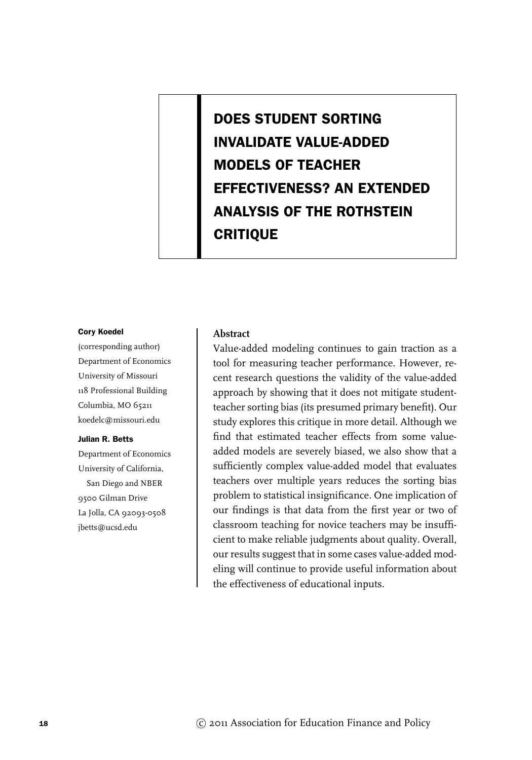**DOES STUDENT SORTING INVALIDATE VALUE-ADDED MODELS OF TEACHER EFFECTIVENESS? AN EXTENDED ANALYSIS OF THE ROTHSTEIN CRITIQUE**

#### **Cory Koedel**

(corresponding author) Department of Economics University of Missouri 118 Professional Building Columbia, MO 65211 koedelc@missouri.edu

#### **Julian R. Betts**

Department of Economics University of California, San Diego and NBER 9500 Gilman Drive La Jolla, CA 92093-0508 jbetts@ucsd.edu

### **Abstract**

Value-added modeling continues to gain traction as a tool for measuring teacher performance. However, recent research questions the validity of the value-added approach by showing that it does not mitigate studentteacher sorting bias (its presumed primary benefit). Our study explores this critique in more detail. Although we find that estimated teacher effects from some valueadded models are severely biased, we also show that a sufficiently complex value-added model that evaluates teachers over multiple years reduces the sorting bias problem to statistical insignificance. One implication of our findings is that data from the first year or two of classroom teaching for novice teachers may be insufficient to make reliable judgments about quality. Overall, our results suggest that in some cases value-added modeling will continue to provide useful information about the effectiveness of educational inputs.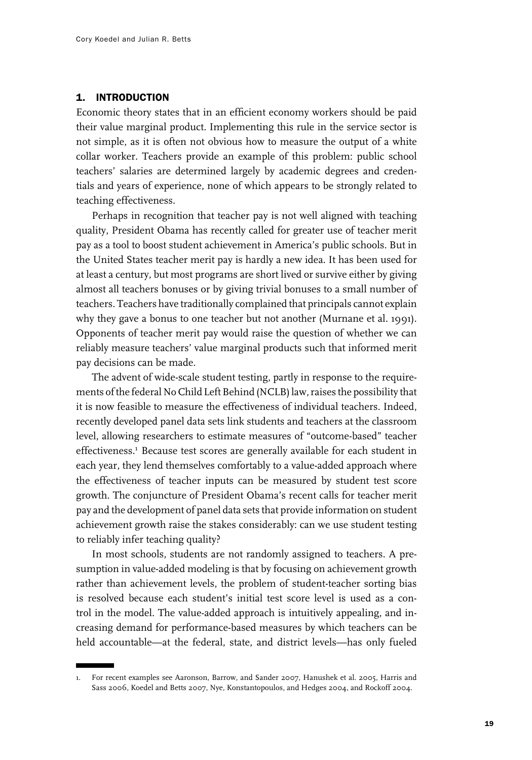# **1. INTRODUCTION**

Economic theory states that in an efficient economy workers should be paid their value marginal product. Implementing this rule in the service sector is not simple, as it is often not obvious how to measure the output of a white collar worker. Teachers provide an example of this problem: public school teachers' salaries are determined largely by academic degrees and credentials and years of experience, none of which appears to be strongly related to teaching effectiveness.

Perhaps in recognition that teacher pay is not well aligned with teaching quality, President Obama has recently called for greater use of teacher merit pay as a tool to boost student achievement in America's public schools. But in the United States teacher merit pay is hardly a new idea. It has been used for at least a century, but most programs are short lived or survive either by giving almost all teachers bonuses or by giving trivial bonuses to a small number of teachers. Teachers have traditionally complained that principals cannot explain why they gave a bonus to one teacher but not another (Murnane et al. 1991). Opponents of teacher merit pay would raise the question of whether we can reliably measure teachers' value marginal products such that informed merit pay decisions can be made.

The advent of wide-scale student testing, partly in response to the requirements of the federal No Child Left Behind (NCLB) law, raises the possibility that it is now feasible to measure the effectiveness of individual teachers. Indeed, recently developed panel data sets link students and teachers at the classroom level, allowing researchers to estimate measures of "outcome-based" teacher effectiveness.<sup>1</sup> Because test scores are generally available for each student in each year, they lend themselves comfortably to a value-added approach where the effectiveness of teacher inputs can be measured by student test score growth. The conjuncture of President Obama's recent calls for teacher merit pay and the development of panel data sets that provide information on student achievement growth raise the stakes considerably: can we use student testing to reliably infer teaching quality?

In most schools, students are not randomly assigned to teachers. A presumption in value-added modeling is that by focusing on achievement growth rather than achievement levels, the problem of student-teacher sorting bias is resolved because each student's initial test score level is used as a control in the model. The value-added approach is intuitively appealing, and increasing demand for performance-based measures by which teachers can be held accountable—at the federal, state, and district levels—has only fueled

<sup>1</sup>. For recent examples see Aaronson, Barrow, and Sander 2007, Hanushek et al. 2005, Harris and Sass 2006, Koedel and Betts 2007, Nye, Konstantopoulos, and Hedges 2004, and Rockoff 2004.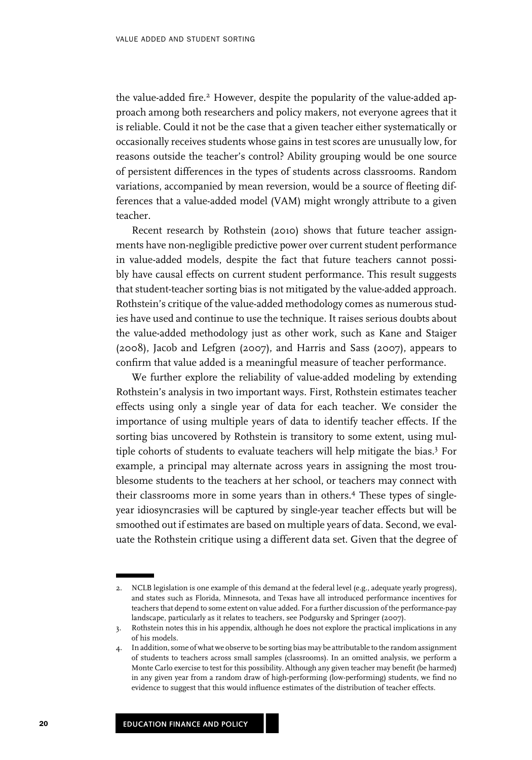the value-added fire.<sup>2</sup> However, despite the popularity of the value-added approach among both researchers and policy makers, not everyone agrees that it is reliable. Could it not be the case that a given teacher either systematically or occasionally receives students whose gains in test scores are unusually low, for reasons outside the teacher's control? Ability grouping would be one source of persistent differences in the types of students across classrooms. Random variations, accompanied by mean reversion, would be a source of fleeting differences that a value-added model (VAM) might wrongly attribute to a given teacher.

Recent research by Rothstein (2010) shows that future teacher assignments have non-negligible predictive power over current student performance in value-added models, despite the fact that future teachers cannot possibly have causal effects on current student performance. This result suggests that student-teacher sorting bias is not mitigated by the value-added approach. Rothstein's critique of the value-added methodology comes as numerous studies have used and continue to use the technique. It raises serious doubts about the value-added methodology just as other work, such as Kane and Staiger (2008), Jacob and Lefgren (2007), and Harris and Sass (2007), appears to confirm that value added is a meaningful measure of teacher performance.

We further explore the reliability of value-added modeling by extending Rothstein's analysis in two important ways. First, Rothstein estimates teacher effects using only a single year of data for each teacher. We consider the importance of using multiple years of data to identify teacher effects. If the sorting bias uncovered by Rothstein is transitory to some extent, using multiple cohorts of students to evaluate teachers will help mitigate the bias.<sup>3</sup> For example, a principal may alternate across years in assigning the most troublesome students to the teachers at her school, or teachers may connect with their classrooms more in some years than in others.<sup>4</sup> These types of singleyear idiosyncrasies will be captured by single-year teacher effects but will be smoothed out if estimates are based on multiple years of data. Second, we evaluate the Rothstein critique using a different data set. Given that the degree of

<sup>2.</sup> NCLB legislation is one example of this demand at the federal level (e.g., adequate yearly progress), and states such as Florida, Minnesota, and Texas have all introduced performance incentives for teachers that depend to some extent on value added. For a further discussion of the performance-pay landscape, particularly as it relates to teachers, see Podgursky and Springer (2007).

<sup>3.</sup> Rothstein notes this in his appendix, although he does not explore the practical implications in any of his models.

<sup>4.</sup> In addition, some of what we observe to be sorting bias may be attributable to the random assignment of students to teachers across small samples (classrooms). In an omitted analysis, we perform a Monte Carlo exercise to test for this possibility. Although any given teacher may benefit (be harmed) in any given year from a random draw of high-performing (low-performing) students, we find no evidence to suggest that this would influence estimates of the distribution of teacher effects.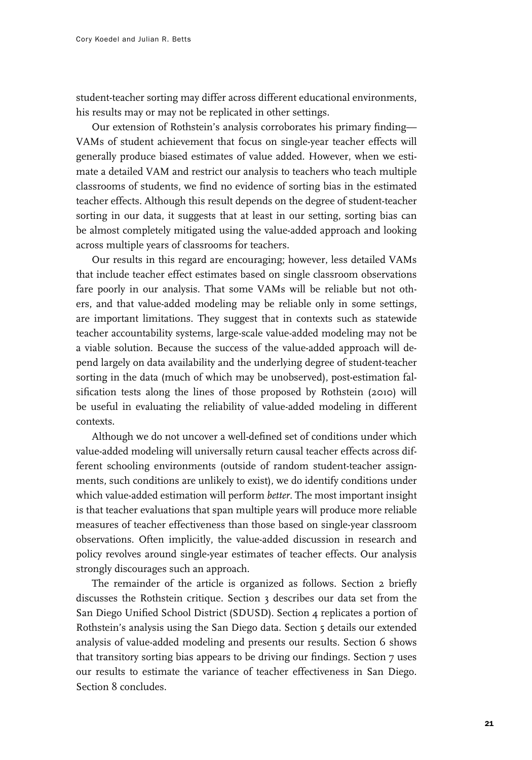student-teacher sorting may differ across different educational environments, his results may or may not be replicated in other settings.

Our extension of Rothstein's analysis corroborates his primary finding— VAMs of student achievement that focus on single-year teacher effects will generally produce biased estimates of value added. However, when we estimate a detailed VAM and restrict our analysis to teachers who teach multiple classrooms of students, we find no evidence of sorting bias in the estimated teacher effects. Although this result depends on the degree of student-teacher sorting in our data, it suggests that at least in our setting, sorting bias can be almost completely mitigated using the value-added approach and looking across multiple years of classrooms for teachers.

Our results in this regard are encouraging; however, less detailed VAMs that include teacher effect estimates based on single classroom observations fare poorly in our analysis. That some VAMs will be reliable but not others, and that value-added modeling may be reliable only in some settings, are important limitations. They suggest that in contexts such as statewide teacher accountability systems, large-scale value-added modeling may not be a viable solution. Because the success of the value-added approach will depend largely on data availability and the underlying degree of student-teacher sorting in the data (much of which may be unobserved), post-estimation falsification tests along the lines of those proposed by Rothstein (2010) will be useful in evaluating the reliability of value-added modeling in different contexts.

Although we do not uncover a well-defined set of conditions under which value-added modeling will universally return causal teacher effects across different schooling environments (outside of random student-teacher assignments, such conditions are unlikely to exist), we do identify conditions under which value-added estimation will perform *better*. The most important insight is that teacher evaluations that span multiple years will produce more reliable measures of teacher effectiveness than those based on single-year classroom observations. Often implicitly, the value-added discussion in research and policy revolves around single-year estimates of teacher effects. Our analysis strongly discourages such an approach.

The remainder of the article is organized as follows. Section 2 briefly discusses the Rothstein critique. Section 3 describes our data set from the San Diego Unified School District (SDUSD). Section 4 replicates a portion of Rothstein's analysis using the San Diego data. Section 5 details our extended analysis of value-added modeling and presents our results. Section 6 shows that transitory sorting bias appears to be driving our findings. Section 7 uses our results to estimate the variance of teacher effectiveness in San Diego. Section 8 concludes.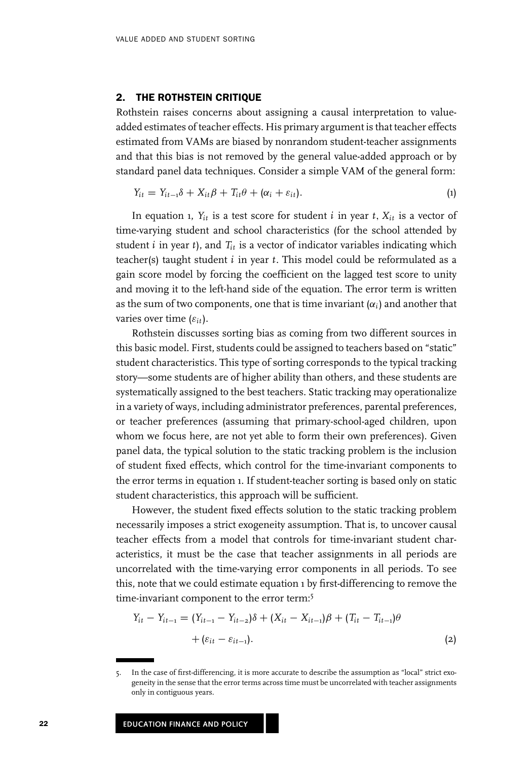### **2. THE ROTHSTEIN CRITIQUE**

Rothstein raises concerns about assigning a causal interpretation to valueadded estimates of teacher effects. His primary argument is that teacher effects estimated from VAMs are biased by nonrandom student-teacher assignments and that this bias is not removed by the general value-added approach or by standard panel data techniques. Consider a simple VAM of the general form:

$$
Y_{it} = Y_{it-1}\delta + X_{it}\beta + T_{it}\theta + (\alpha_i + \varepsilon_{it}).
$$
\n(1)

In equation 1,  $Y_{it}$  is a test score for student *i* in year *t*,  $X_{it}$  is a vector of time-varying student and school characteristics (for the school attended by student  $i$  in year  $t$ ), and  $T_{it}$  is a vector of indicator variables indicating which teacher(s) taught student *i* in year *t*. This model could be reformulated as a gain score model by forcing the coefficient on the lagged test score to unity and moving it to the left-hand side of the equation. The error term is written as the sum of two components, one that is time invariant  $(\alpha_i)$  and another that varies over time (ε*it*).

Rothstein discusses sorting bias as coming from two different sources in this basic model. First, students could be assigned to teachers based on "static" student characteristics. This type of sorting corresponds to the typical tracking story—some students are of higher ability than others, and these students are systematically assigned to the best teachers. Static tracking may operationalize in a variety of ways, including administrator preferences, parental preferences, or teacher preferences (assuming that primary-school-aged children, upon whom we focus here, are not yet able to form their own preferences). Given panel data, the typical solution to the static tracking problem is the inclusion of student fixed effects, which control for the time-invariant components to the error terms in equation 1. If student-teacher sorting is based only on static student characteristics, this approach will be sufficient.

However, the student fixed effects solution to the static tracking problem necessarily imposes a strict exogeneity assumption. That is, to uncover causal teacher effects from a model that controls for time-invariant student characteristics, it must be the case that teacher assignments in all periods are uncorrelated with the time-varying error components in all periods. To see this, note that we could estimate equation 1 by first-differencing to remove the time-invariant component to the error term:<sup>5</sup>

$$
Y_{it} - Y_{it-1} = (Y_{it-1} - Y_{it-2})\delta + (X_{it} - X_{it-1})\beta + (T_{it} - T_{it-1})\theta + (\varepsilon_{it} - \varepsilon_{it-1}).
$$
\n(2)

<sup>5.</sup> In the case of first-differencing, it is more accurate to describe the assumption as "local" strict exogeneity in the sense that the error terms across time must be uncorrelated with teacher assignments only in contiguous years.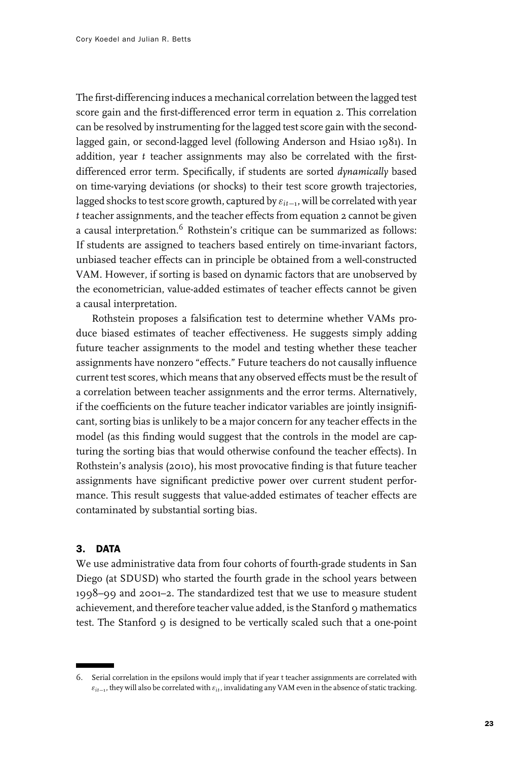The first-differencing induces a mechanical correlation between the lagged test score gain and the first-differenced error term in equation 2. This correlation can be resolved by instrumenting for the lagged test score gain with the secondlagged gain, or second-lagged level (following Anderson and Hsiao 1981). In addition, year *t* teacher assignments may also be correlated with the firstdifferenced error term. Specifically, if students are sorted *dynamically* based on time-varying deviations (or shocks) to their test score growth trajectories, lagged shocks to test score growth, captured by ε*it*−<sup>1</sup>, will be correlated with year *t* teacher assignments, and the teacher effects from equation 2 cannot be given a causal interpretation.<sup>6</sup> Rothstein's critique can be summarized as follows: If students are assigned to teachers based entirely on time-invariant factors, unbiased teacher effects can in principle be obtained from a well-constructed VAM. However, if sorting is based on dynamic factors that are unobserved by the econometrician, value-added estimates of teacher effects cannot be given a causal interpretation.

Rothstein proposes a falsification test to determine whether VAMs produce biased estimates of teacher effectiveness. He suggests simply adding future teacher assignments to the model and testing whether these teacher assignments have nonzero "effects." Future teachers do not causally influence current test scores, which means that any observed effects must be the result of a correlation between teacher assignments and the error terms. Alternatively, if the coefficients on the future teacher indicator variables are jointly insignificant, sorting bias is unlikely to be a major concern for any teacher effects in the model (as this finding would suggest that the controls in the model are capturing the sorting bias that would otherwise confound the teacher effects). In Rothstein's analysis (2010), his most provocative finding is that future teacher assignments have significant predictive power over current student performance. This result suggests that value-added estimates of teacher effects are contaminated by substantial sorting bias.

## **3. DATA**

We use administrative data from four cohorts of fourth-grade students in San Diego (at SDUSD) who started the fourth grade in the school years between 1998–99 and 2001–2. The standardized test that we use to measure student achievement, and therefore teacher value added, is the Stanford 9 mathematics test. The Stanford 9 is designed to be vertically scaled such that a one-point

<sup>6.</sup> Serial correlation in the epsilons would imply that if year t teacher assignments are correlated with ε*it*−<sup>1</sup>, they will also be correlated with ε*it* , invalidating any VAM even in the absence of static tracking.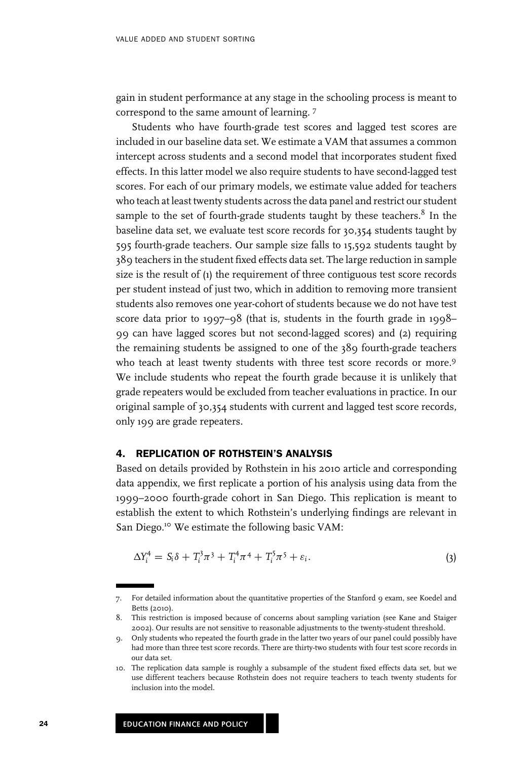gain in student performance at any stage in the schooling process is meant to correspond to the same amount of learning. <sup>7</sup>

Students who have fourth-grade test scores and lagged test scores are included in our baseline data set. We estimate a VAM that assumes a common intercept across students and a second model that incorporates student fixed effects. In this latter model we also require students to have second-lagged test scores. For each of our primary models, we estimate value added for teachers who teach at least twenty students across the data panel and restrict our student sample to the set of fourth-grade students taught by these teachers.<sup>8</sup> In the baseline data set, we evaluate test score records for 30,354 students taught by 595 fourth-grade teachers. Our sample size falls to 15,592 students taught by 389 teachers in the student fixed effects data set. The large reduction in sample size is the result of (1) the requirement of three contiguous test score records per student instead of just two, which in addition to removing more transient students also removes one year-cohort of students because we do not have test score data prior to 1997–98 (that is, students in the fourth grade in 1998– 99 can have lagged scores but not second-lagged scores) and (2) requiring the remaining students be assigned to one of the 389 fourth-grade teachers who teach at least twenty students with three test score records or more.<sup>9</sup> We include students who repeat the fourth grade because it is unlikely that grade repeaters would be excluded from teacher evaluations in practice. In our original sample of 30,354 students with current and lagged test score records, only 199 are grade repeaters.

## **4. REPLICATION OF ROTHSTEIN'S ANALYSIS**

Based on details provided by Rothstein in his 2010 article and corresponding data appendix, we first replicate a portion of his analysis using data from the 1999–2000 fourth-grade cohort in San Diego. This replication is meant to establish the extent to which Rothstein's underlying findings are relevant in San Diego.<sup>10</sup> We estimate the following basic VAM:

$$
\Delta Y_i^4 = S_i \delta + T_i^3 \pi^3 + T_i^4 \pi^4 + T_i^5 \pi^5 + \varepsilon_i.
$$
 (3)

<sup>7.</sup> For detailed information about the quantitative properties of the Stanford 9 exam, see Koedel and Betts (2010).

<sup>8.</sup> This restriction is imposed because of concerns about sampling variation (see Kane and Staiger 2002). Our results are not sensitive to reasonable adjustments to the twenty-student threshold.

<sup>9.</sup> Only students who repeated the fourth grade in the latter two years of our panel could possibly have had more than three test score records. There are thirty-two students with four test score records in our data set.

<sup>1</sup>0. The replication data sample is roughly a subsample of the student fixed effects data set, but we use different teachers because Rothstein does not require teachers to teach twenty students for inclusion into the model.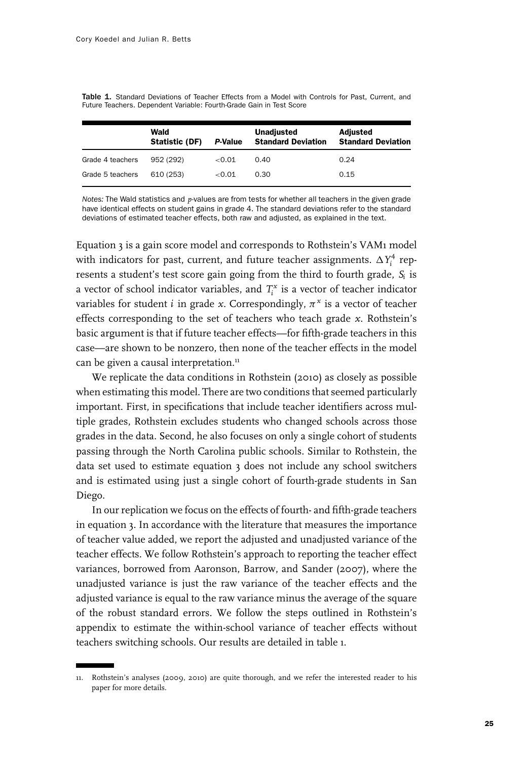|                  | Wald<br>Statistic (DF) | P-Value   | Unadjusted<br><b>Standard Deviation</b> | Adjusted<br><b>Standard Deviation</b> |
|------------------|------------------------|-----------|-----------------------------------------|---------------------------------------|
| Grade 4 teachers | 952 (292)              | ${<}0.01$ | 0.40                                    | 0.24                                  |
| Grade 5 teachers | 610 (253)              | < 0.01    | 0.30                                    | 0.15                                  |

Table 1. Standard Deviations of Teacher Effects from a Model with Controls for Past, Current, and Future Teachers. Dependent Variable: Fourth-Grade Gain in Test Score

*Notes:* The Wald statistics and *p*-values are from tests for whether all teachers in the given grade have identical effects on student gains in grade 4. The standard deviations refer to the standard deviations of estimated teacher effects, both raw and adjusted, as explained in the text.

Equation 3 is a gain score model and corresponds to Rothstein's VAM1 model with indicators for past, current, and future teacher assignments.  $\Delta Y_i^4$  represents a student's test score gain going from the third to fourth grade, *Si* is a vector of school indicator variables, and *T<sup>x</sup> <sup>i</sup>* is a vector of teacher indicator variables for student *i* in grade *x*. Correspondingly,  $\pi^x$  is a vector of teacher effects corresponding to the set of teachers who teach grade *x*. Rothstein's basic argument is that if future teacher effects—for fifth-grade teachers in this case—are shown to be nonzero, then none of the teacher effects in the model can be given a causal interpretation.<sup>11</sup>

We replicate the data conditions in Rothstein (2010) as closely as possible when estimating this model. There are two conditions that seemed particularly important. First, in specifications that include teacher identifiers across multiple grades, Rothstein excludes students who changed schools across those grades in the data. Second, he also focuses on only a single cohort of students passing through the North Carolina public schools. Similar to Rothstein, the data set used to estimate equation 3 does not include any school switchers and is estimated using just a single cohort of fourth-grade students in San Diego.

In our replication we focus on the effects of fourth- and fifth-grade teachers in equation 3. In accordance with the literature that measures the importance of teacher value added, we report the adjusted and unadjusted variance of the teacher effects. We follow Rothstein's approach to reporting the teacher effect variances, borrowed from Aaronson, Barrow, and Sander (2007), where the unadjusted variance is just the raw variance of the teacher effects and the adjusted variance is equal to the raw variance minus the average of the square of the robust standard errors. We follow the steps outlined in Rothstein's appendix to estimate the within-school variance of teacher effects without teachers switching schools. Our results are detailed in table 1.

<sup>11</sup>. Rothstein's analyses (2009, 2010) are quite thorough, and we refer the interested reader to his paper for more details.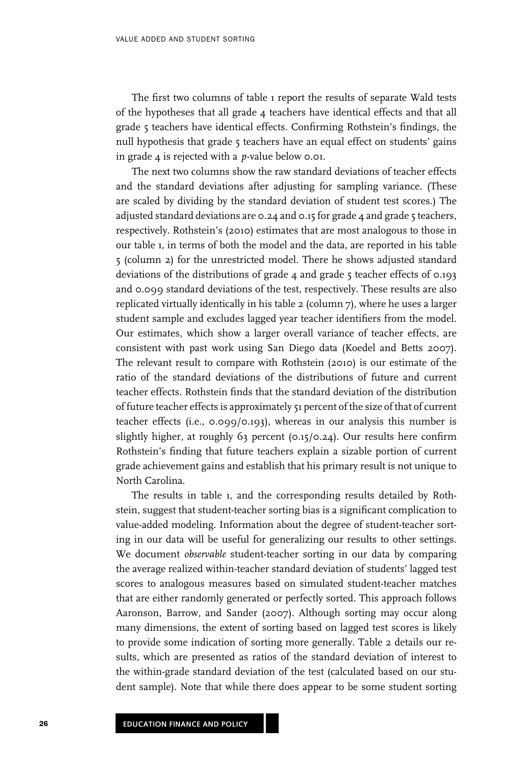The first two columns of table 1 report the results of separate Wald tests of the hypotheses that all grade 4 teachers have identical effects and that all grade 5 teachers have identical effects. Confirming Rothstein's findings, the null hypothesis that grade 5 teachers have an equal effect on students' gains in grade 4 is rejected with a *p*-value below 0.01.

The next two columns show the raw standard deviations of teacher effects and the standard deviations after adjusting for sampling variance. (These are scaled by dividing by the standard deviation of student test scores.) The adjusted standard deviations are 0.24 and 0.15 for grade 4 and grade 5 teachers, respectively. Rothstein's (2010) estimates that are most analogous to those in our table 1, in terms of both the model and the data, are reported in his table 5 (column 2) for the unrestricted model. There he shows adjusted standard deviations of the distributions of grade 4 and grade 5 teacher effects of 0.193 and 0.099 standard deviations of the test, respectively. These results are also replicated virtually identically in his table 2 (column 7), where he uses a larger student sample and excludes lagged year teacher identifiers from the model. Our estimates, which show a larger overall variance of teacher effects, are consistent with past work using San Diego data (Koedel and Betts 2007). The relevant result to compare with Rothstein (2010) is our estimate of the ratio of the standard deviations of the distributions of future and current teacher effects. Rothstein finds that the standard deviation of the distribution of future teacher effects is approximately 51 percent of the size of that of current teacher effects (i.e., 0.099/0.193), whereas in our analysis this number is slightly higher, at roughly 63 percent (0.15/0.24). Our results here confirm Rothstein's finding that future teachers explain a sizable portion of current grade achievement gains and establish that his primary result is not unique to North Carolina.

The results in table 1, and the corresponding results detailed by Rothstein, suggest that student-teacher sorting bias is a significant complication to value-added modeling. Information about the degree of student-teacher sorting in our data will be useful for generalizing our results to other settings. We document *observable* student-teacher sorting in our data by comparing the average realized within-teacher standard deviation of students' lagged test scores to analogous measures based on simulated student-teacher matches that are either randomly generated or perfectly sorted. This approach follows Aaronson, Barrow, and Sander (2007). Although sorting may occur along many dimensions, the extent of sorting based on lagged test scores is likely to provide some indication of sorting more generally. Table 2 details our results, which are presented as ratios of the standard deviation of interest to the within-grade standard deviation of the test (calculated based on our student sample). Note that while there does appear to be some student sorting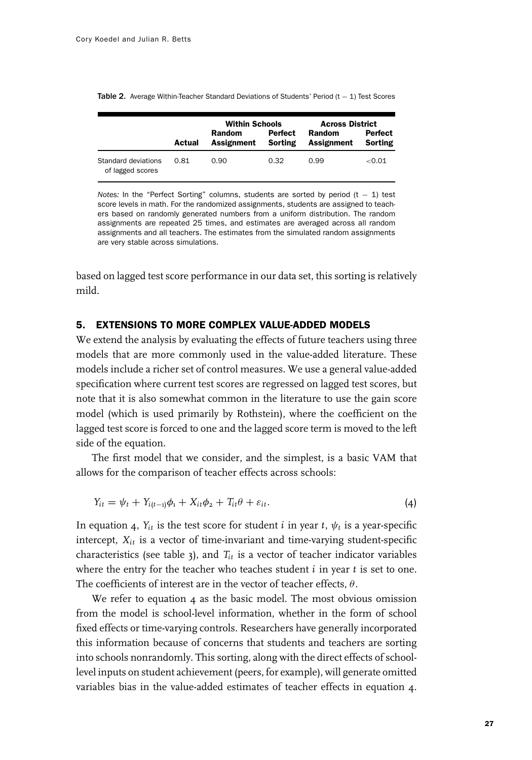|                                         |        | <b>Within Schools</b> |                    | <b>Across District</b> |                    |
|-----------------------------------------|--------|-----------------------|--------------------|------------------------|--------------------|
|                                         | Actual | Random<br>Assignment  | Perfect<br>Sorting | Random<br>Assignment   | Perfect<br>Sorting |
| Standard deviations<br>of lagged scores | 0.81   | 0.90                  | 0.32               | 0.99                   | < 0.01             |

Table 2. Average Within-Teacher Standard Deviations of Students' Period (t − 1) Test Scores

*Notes:* In the "Perfect Sorting" columns, students are sorted by period (t − 1) test score levels in math. For the randomized assignments, students are assigned to teachers based on randomly generated numbers from a uniform distribution. The random assignments are repeated 25 times, and estimates are averaged across all random assignments and all teachers. The estimates from the simulated random assignments are very stable across simulations.

based on lagged test score performance in our data set, this sorting is relatively mild.

## **5. EXTENSIONS TO MORE COMPLEX VALUE-ADDED MODELS**

We extend the analysis by evaluating the effects of future teachers using three models that are more commonly used in the value-added literature. These models include a richer set of control measures. We use a general value-added specification where current test scores are regressed on lagged test scores, but note that it is also somewhat common in the literature to use the gain score model (which is used primarily by Rothstein), where the coefficient on the lagged test score is forced to one and the lagged score term is moved to the left side of the equation.

The first model that we consider, and the simplest, is a basic VAM that allows for the comparison of teacher effects across schools:

$$
Y_{it} = \psi_t + Y_{i(t-1)}\phi_1 + X_{it}\phi_2 + T_{it}\theta + \varepsilon_{it}.
$$
\n
$$
\tag{4}
$$

In equation 4,  $Y_{it}$  is the test score for student *i* in year *t*,  $\psi_t$  is a year-specific intercept,  $X_{it}$  is a vector of time-invariant and time-varying student-specific characteristics (see table 3), and  $T_{it}$  is a vector of teacher indicator variables where the entry for the teacher who teaches student *i* in year *t* is set to one. The coefficients of interest are in the vector of teacher effects,  $\theta$ .

We refer to equation 4 as the basic model. The most obvious omission from the model is school-level information, whether in the form of school fixed effects or time-varying controls. Researchers have generally incorporated this information because of concerns that students and teachers are sorting into schools nonrandomly. This sorting, along with the direct effects of schoollevel inputs on student achievement (peers, for example), will generate omitted variables bias in the value-added estimates of teacher effects in equation 4.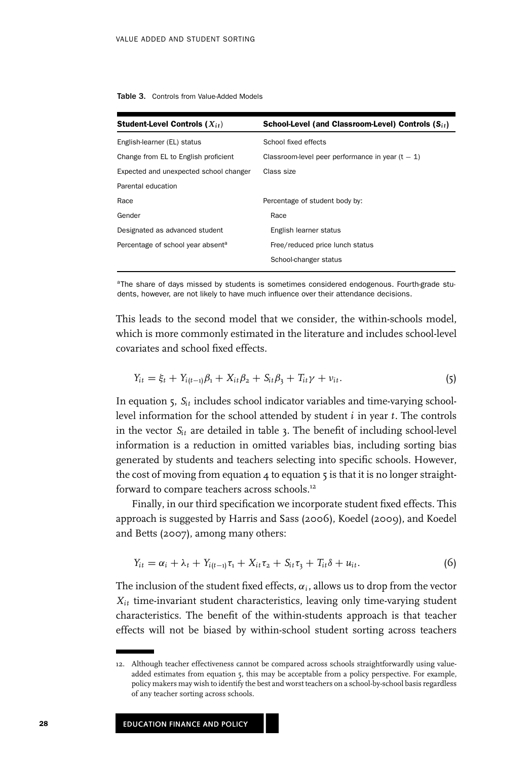| <b>Student-Level Controls (<math>X_{it}</math>)</b> | School-Level (and Classroom-Level) Controls $(S_{it})$ |
|-----------------------------------------------------|--------------------------------------------------------|
| English-learner (EL) status                         | School fixed effects                                   |
| Change from EL to English proficient                | Classroom-level peer performance in year $(t - 1)$     |
| Expected and unexpected school changer              | Class size                                             |
| Parental education                                  |                                                        |
| Race                                                | Percentage of student body by:                         |
| Gender                                              | Race                                                   |
| Designated as advanced student                      | English learner status                                 |
| Percentage of school year absent <sup>a</sup>       | Free/reduced price lunch status                        |
|                                                     | School-changer status                                  |

Table 3. Controls from Value-Added Models

<sup>a</sup>The share of days missed by students is sometimes considered endogenous. Fourth-grade students, however, are not likely to have much influence over their attendance decisions.

This leads to the second model that we consider, the within-schools model, which is more commonly estimated in the literature and includes school-level covariates and school fixed effects.

$$
Y_{it} = \xi_t + Y_{i(t-1)}\beta_1 + X_{it}\beta_2 + S_{it}\beta_3 + T_{it}\gamma + \nu_{it}.
$$
\n(5)

In equation 5, *Sit* includes school indicator variables and time-varying schoollevel information for the school attended by student *i* in year *t*. The controls in the vector  $S_{it}$  are detailed in table 3. The benefit of including school-level information is a reduction in omitted variables bias, including sorting bias generated by students and teachers selecting into specific schools. However, the cost of moving from equation  $4$  to equation  $5$  is that it is no longer straightforward to compare teachers across schools.<sup>12</sup>

Finally, in our third specification we incorporate student fixed effects. This approach is suggested by Harris and Sass (2006), Koedel (2009), and Koedel and Betts (2007), among many others:

$$
Y_{it} = \alpha_i + \lambda_t + Y_{i(t-1)}\tau_1 + X_{it}\tau_2 + S_{it}\tau_3 + T_{it}\delta + u_{it}.
$$
 (6)

The inclusion of the student fixed effects,  $\alpha_i$ , allows us to drop from the vector *Xit* time-invariant student characteristics, leaving only time-varying student characteristics. The benefit of the within-students approach is that teacher effects will not be biased by within-school student sorting across teachers

<sup>1</sup>2. Although teacher effectiveness cannot be compared across schools straightforwardly using valueadded estimates from equation 5, this may be acceptable from a policy perspective. For example, policy makers may wish to identify the best and worst teachers on a school-by-school basis regardless of any teacher sorting across schools.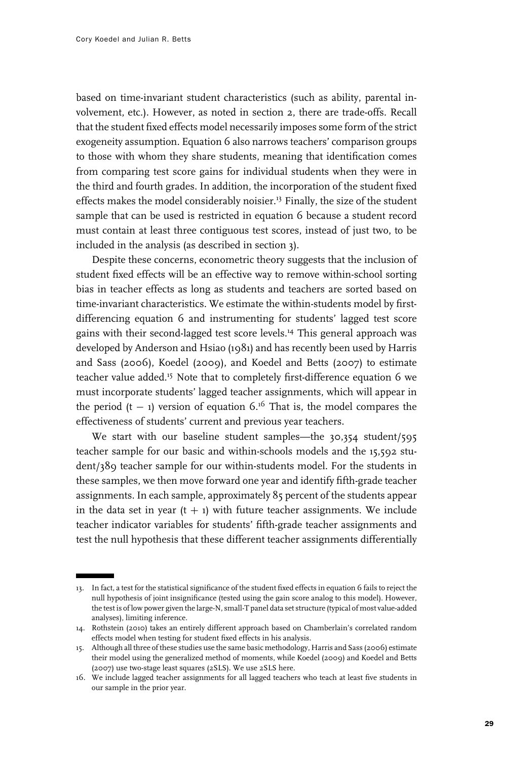based on time-invariant student characteristics (such as ability, parental involvement, etc.). However, as noted in section 2, there are trade-offs. Recall that the student fixed effects model necessarily imposes some form of the strict exogeneity assumption. Equation 6 also narrows teachers' comparison groups to those with whom they share students, meaning that identification comes from comparing test score gains for individual students when they were in the third and fourth grades. In addition, the incorporation of the student fixed effects makes the model considerably noisier.<sup>13</sup> Finally, the size of the student sample that can be used is restricted in equation 6 because a student record must contain at least three contiguous test scores, instead of just two, to be included in the analysis (as described in section 3).

Despite these concerns, econometric theory suggests that the inclusion of student fixed effects will be an effective way to remove within-school sorting bias in teacher effects as long as students and teachers are sorted based on time-invariant characteristics. We estimate the within-students model by firstdifferencing equation 6 and instrumenting for students' lagged test score gains with their second-lagged test score levels.<sup>1</sup><sup>4</sup> This general approach was developed by Anderson and Hsiao (1981) and has recently been used by Harris and Sass (2006), Koedel (2009), and Koedel and Betts (2007) to estimate teacher value added.<sup>1</sup><sup>5</sup> Note that to completely first-difference equation 6 we must incorporate students' lagged teacher assignments, which will appear in the period (t – 1) version of equation 6.<sup>16</sup> That is, the model compares the effectiveness of students' current and previous year teachers.

We start with our baseline student samples—the 30,354 student/595 teacher sample for our basic and within-schools models and the 15,592 student/389 teacher sample for our within-students model. For the students in these samples, we then move forward one year and identify fifth-grade teacher assignments. In each sample, approximately 85 percent of the students appear in the data set in year  $(t + 1)$  with future teacher assignments. We include teacher indicator variables for students' fifth-grade teacher assignments and test the null hypothesis that these different teacher assignments differentially

<sup>1</sup>3. In fact, a test for the statistical significance of the student fixed effects in equation 6 fails to reject the null hypothesis of joint insignificance (tested using the gain score analog to this model). However, the test is of low power given the large-N, small-T panel data set structure (typical of most value-added analyses), limiting inference.

<sup>1</sup>4. Rothstein (2010) takes an entirely different approach based on Chamberlain's correlated random effects model when testing for student fixed effects in his analysis.

<sup>1</sup>5. Although all three of these studies use the same basic methodology, Harris and Sass (2006) estimate their model using the generalized method of moments, while Koedel (2009) and Koedel and Betts (2007) use two-stage least squares (2SLS). We use 2SLS here.

<sup>1</sup>6. We include lagged teacher assignments for all lagged teachers who teach at least five students in our sample in the prior year.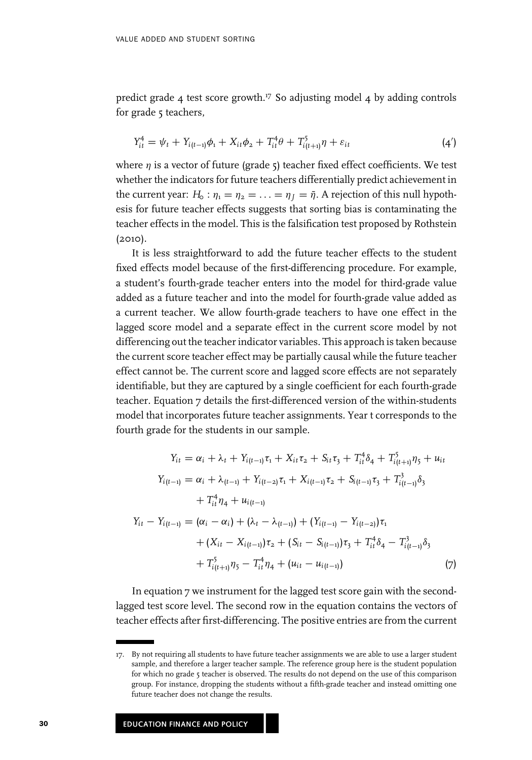predict grade 4 test score growth.<sup>17</sup> So adjusting model 4 by adding controls for grade 5 teachers,

$$
Y_{it}^{4} = \psi_{t} + Y_{i(t-1)}\phi_{1} + X_{it}\phi_{2} + T_{it}^{4}\theta + T_{i(t+1)}^{5}\eta + \varepsilon_{it}
$$
\n(4')

where  $\eta$  is a vector of future (grade 5) teacher fixed effect coefficients. We test whether the indicators for future teachers differentially predict achievement in the current year:  $H_0$ :  $\eta_1 = \eta_2 = \ldots = \eta_I = \bar{\eta}$ . A rejection of this null hypothesis for future teacher effects suggests that sorting bias is contaminating the teacher effects in the model. This is the falsification test proposed by Rothstein (2010).

It is less straightforward to add the future teacher effects to the student fixed effects model because of the first-differencing procedure. For example, a student's fourth-grade teacher enters into the model for third-grade value added as a future teacher and into the model for fourth-grade value added as a current teacher. We allow fourth-grade teachers to have one effect in the lagged score model and a separate effect in the current score model by not differencing out the teacher indicator variables. This approach is taken because the current score teacher effect may be partially causal while the future teacher effect cannot be. The current score and lagged score effects are not separately identifiable, but they are captured by a single coefficient for each fourth-grade teacher. Equation 7 details the first-differenced version of the within-students model that incorporates future teacher assignments. Year t corresponds to the fourth grade for the students in our sample.

$$
Y_{it} = \alpha_i + \lambda_t + Y_{i(t-1)}\tau_1 + X_{it}\tau_2 + S_{it}\tau_3 + T_{it}^4\delta_4 + T_{i(t+1)}^5\eta_5 + u_{it}
$$
  
\n
$$
Y_{i(t-1)} = \alpha_i + \lambda_{(t-1)} + Y_{i(t-2)}\tau_1 + X_{i(t-1)}\tau_2 + S_{i(t-1)}\tau_3 + T_{i(t-1)}^3\delta_3
$$
  
\n
$$
+ T_{it}^4\eta_4 + u_{i(t-1)}
$$
  
\n
$$
Y_{it} - Y_{i(t-1)} = (\alpha_i - \alpha_i) + (\lambda_t - \lambda_{(t-1)}) + (Y_{i(t-1)} - Y_{i(t-2)})\tau_1
$$
  
\n
$$
+ (X_{it} - X_{i(t-1)})\tau_2 + (S_{it} - S_{i(t-1)})\tau_3 + T_{it}^4\delta_4 - T_{i(t-1)}^3\delta_3
$$
  
\n
$$
+ T_{i(t+1)}^5\eta_5 - T_{it}^4\eta_4 + (u_{it} - u_{i(t-1)})
$$
\n(7)

In equation 7 we instrument for the lagged test score gain with the secondlagged test score level. The second row in the equation contains the vectors of teacher effects after first-differencing. The positive entries are from the current

<sup>1</sup>7. By not requiring all students to have future teacher assignments we are able to use a larger student sample, and therefore a larger teacher sample. The reference group here is the student population for which no grade 5 teacher is observed. The results do not depend on the use of this comparison group. For instance, dropping the students without a fifth-grade teacher and instead omitting one future teacher does not change the results.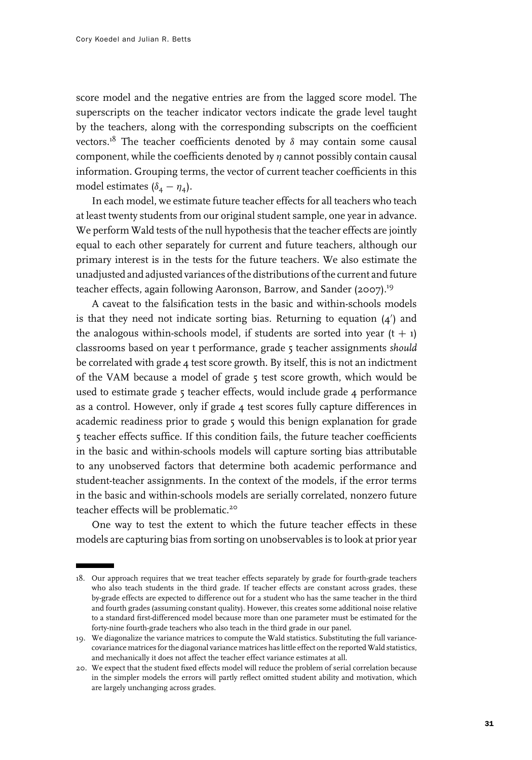score model and the negative entries are from the lagged score model. The superscripts on the teacher indicator vectors indicate the grade level taught by the teachers, along with the corresponding subscripts on the coefficient vectors.<sup>18</sup> The teacher coefficients denoted by  $\delta$  may contain some causal component, while the coefficients denoted by  $\eta$  cannot possibly contain causal information. Grouping terms, the vector of current teacher coefficients in this model estimates  $(\delta_4 - \eta_4)$ .

In each model, we estimate future teacher effects for all teachers who teach at least twenty students from our original student sample, one year in advance. We perform Wald tests of the null hypothesis that the teacher effects are jointly equal to each other separately for current and future teachers, although our primary interest is in the tests for the future teachers. We also estimate the unadjusted and adjusted variances of the distributions of the current and future teacher effects, again following Aaronson, Barrow, and Sander (2007).<sup>19</sup>

A caveat to the falsification tests in the basic and within-schools models is that they need not indicate sorting bias. Returning to equation  $\left(4\right)$  and the analogous within-schools model, if students are sorted into year  $(t + 1)$ classrooms based on year t performance, grade 5 teacher assignments *should* be correlated with grade 4 test score growth. By itself, this is not an indictment of the VAM because a model of grade 5 test score growth, which would be used to estimate grade 5 teacher effects, would include grade 4 performance as a control. However, only if grade 4 test scores fully capture differences in academic readiness prior to grade 5 would this benign explanation for grade 5 teacher effects suffice. If this condition fails, the future teacher coefficients in the basic and within-schools models will capture sorting bias attributable to any unobserved factors that determine both academic performance and student-teacher assignments. In the context of the models, if the error terms in the basic and within-schools models are serially correlated, nonzero future teacher effects will be problematic.<sup>20</sup>

One way to test the extent to which the future teacher effects in these models are capturing bias from sorting on unobservables is to look at prior year

<sup>1</sup>8. Our approach requires that we treat teacher effects separately by grade for fourth-grade teachers who also teach students in the third grade. If teacher effects are constant across grades, these by-grade effects are expected to difference out for a student who has the same teacher in the third and fourth grades (assuming constant quality). However, this creates some additional noise relative to a standard first-differenced model because more than one parameter must be estimated for the forty-nine fourth-grade teachers who also teach in the third grade in our panel.

<sup>1</sup>9. We diagonalize the variance matrices to compute the Wald statistics. Substituting the full variancecovariance matrices for the diagonal variance matrices has little effect on the reported Wald statistics, and mechanically it does not affect the teacher effect variance estimates at all.

<sup>20.</sup> We expect that the student fixed effects model will reduce the problem of serial correlation because in the simpler models the errors will partly reflect omitted student ability and motivation, which are largely unchanging across grades.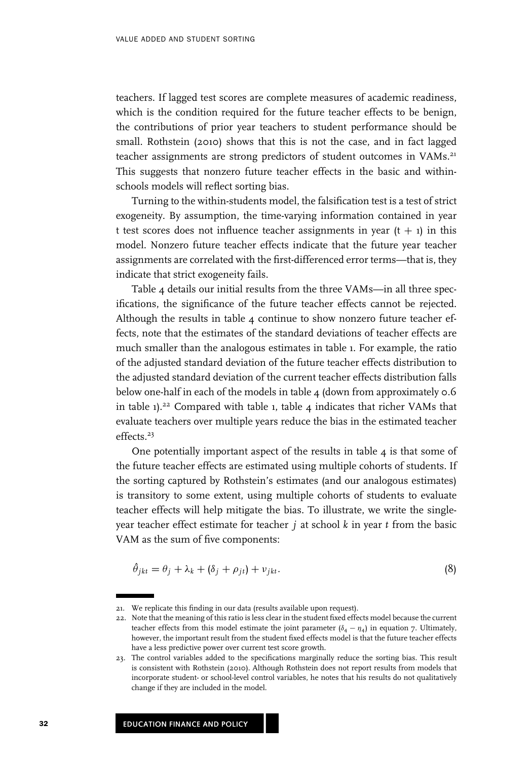teachers. If lagged test scores are complete measures of academic readiness, which is the condition required for the future teacher effects to be benign, the contributions of prior year teachers to student performance should be small. Rothstein (2010) shows that this is not the case, and in fact lagged teacher assignments are strong predictors of student outcomes in VAMs.<sup>21</sup> This suggests that nonzero future teacher effects in the basic and withinschools models will reflect sorting bias.

Turning to the within-students model, the falsification test is a test of strict exogeneity. By assumption, the time-varying information contained in year t test scores does not influence teacher assignments in year  $(t + 1)$  in this model. Nonzero future teacher effects indicate that the future year teacher assignments are correlated with the first-differenced error terms—that is, they indicate that strict exogeneity fails.

Table 4 details our initial results from the three VAMs—in all three specifications, the significance of the future teacher effects cannot be rejected. Although the results in table 4 continue to show nonzero future teacher effects, note that the estimates of the standard deviations of teacher effects are much smaller than the analogous estimates in table 1. For example, the ratio of the adjusted standard deviation of the future teacher effects distribution to the adjusted standard deviation of the current teacher effects distribution falls below one-half in each of the models in table 4 (down from approximately 0.6 in table 1).<sup>22</sup> Compared with table 1, table 4 indicates that richer VAMs that evaluate teachers over multiple years reduce the bias in the estimated teacher effects.<sup>23</sup>

One potentially important aspect of the results in table  $4$  is that some of the future teacher effects are estimated using multiple cohorts of students. If the sorting captured by Rothstein's estimates (and our analogous estimates) is transitory to some extent, using multiple cohorts of students to evaluate teacher effects will help mitigate the bias. To illustrate, we write the singleyear teacher effect estimate for teacher *j* at school *k* in year *t* from the basic VAM as the sum of five components:

$$
\hat{\theta}_{jkt} = \theta_j + \lambda_k + (\delta_j + \rho_{jt}) + \nu_{jkt}.
$$
\n(8)

<sup>2</sup>1. We replicate this finding in our data (results available upon request).

<sup>22.</sup> Note that the meaning of this ratio is less clear in the student fixed effects model because the current teacher effects from this model estimate the joint parameter ( $\delta_4 - \eta_4$ ) in equation 7. Ultimately, however, the important result from the student fixed effects model is that the future teacher effects have a less predictive power over current test score growth.

<sup>23.</sup> The control variables added to the specifications marginally reduce the sorting bias. This result is consistent with Rothstein (2010). Although Rothstein does not report results from models that incorporate student- or school-level control variables, he notes that his results do not qualitatively change if they are included in the model.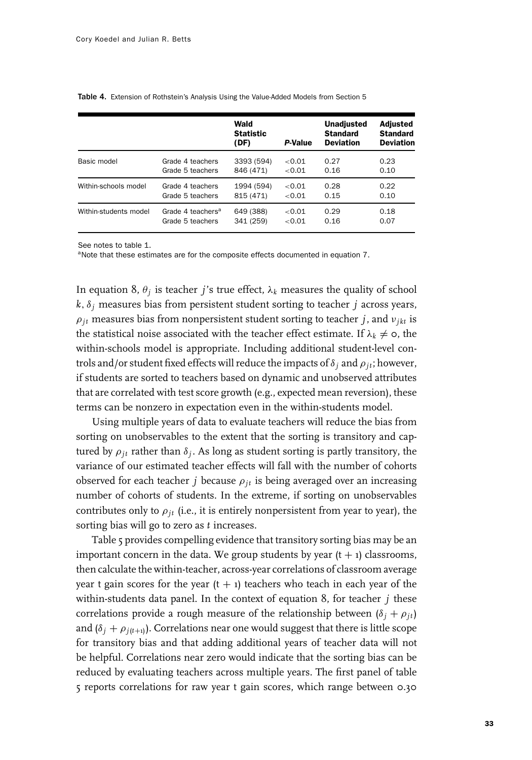|                       |                               | Wald<br><b>Statistic</b><br>(DF) | P-Value | <b>Unadjusted</b><br><b>Standard</b><br><b>Deviation</b> | Adjusted<br><b>Standard</b><br><b>Deviation</b> |
|-----------------------|-------------------------------|----------------------------------|---------|----------------------------------------------------------|-------------------------------------------------|
| Basic model           | Grade 4 teachers              | 3393 (594)                       | < 0.01  | 0.27                                                     | 0.23                                            |
|                       | Grade 5 teachers              | 846 (471)                        | < 0.01  | 0.16                                                     | 0.10                                            |
| Within-schools model  | Grade 4 teachers              | 1994 (594)                       | < 0.01  | 0.28                                                     | 0.22                                            |
|                       | Grade 5 teachers              | 815 (471)                        | < 0.01  | 0.15                                                     | 0.10                                            |
| Within-students model | Grade 4 teachers <sup>a</sup> | 649 (388)                        | < 0.01  | 0.29                                                     | 0.18                                            |
|                       | Grade 5 teachers              | 341 (259)                        | < 0.01  | 0.16                                                     | 0.07                                            |

Table 4. Extension of Rothstein's Analysis Using the Value-Added Models from Section 5

See notes to table 1.

aNote that these estimates are for the composite effects documented in equation 7.

In equation 8,  $θ$ <sup>*i*</sup> is teacher *j*'s true effect,  $λ$ <sup>*k*</sup> measures the quality of school  $k, \delta_j$  measures bias from persistent student sorting to teacher  $j$  across years,  $\rho_{jt}$  measures bias from nonpersistent student sorting to teacher *j*, and  $v_{jkt}$  is the statistical noise associated with the teacher effect estimate. If  $\lambda_k \neq o$ , the within-schools model is appropriate. Including additional student-level controls and/or student fixed effects will reduce the impacts of  $\delta_i$  and  $\rho_{it}$ ; however, if students are sorted to teachers based on dynamic and unobserved attributes that are correlated with test score growth (e.g., expected mean reversion), these terms can be nonzero in expectation even in the within-students model.

Using multiple years of data to evaluate teachers will reduce the bias from sorting on unobservables to the extent that the sorting is transitory and captured by  $\rho_{it}$  rather than  $\delta_i$ . As long as student sorting is partly transitory, the variance of our estimated teacher effects will fall with the number of cohorts observed for each teacher *j* because  $\rho_{it}$  is being averaged over an increasing number of cohorts of students. In the extreme, if sorting on unobservables contributes only to  $\rho_{it}$  (i.e., it is entirely nonpersistent from year to year), the sorting bias will go to zero as *t* increases.

Table 5 provides compelling evidence that transitory sorting bias may be an important concern in the data. We group students by year  $(t + 1)$  classrooms, then calculate the within-teacher, across-year correlations of classroom average year t gain scores for the year  $(t + 1)$  teachers who teach in each year of the within-students data panel. In the context of equation 8, for teacher *j* these correlations provide a rough measure of the relationship between  $(\delta_i + \rho_{it})$ and  $(\delta_i + \rho_{i(t+1)})$ . Correlations near one would suggest that there is little scope for transitory bias and that adding additional years of teacher data will not be helpful. Correlations near zero would indicate that the sorting bias can be reduced by evaluating teachers across multiple years. The first panel of table 5 reports correlations for raw year t gain scores, which range between 0.30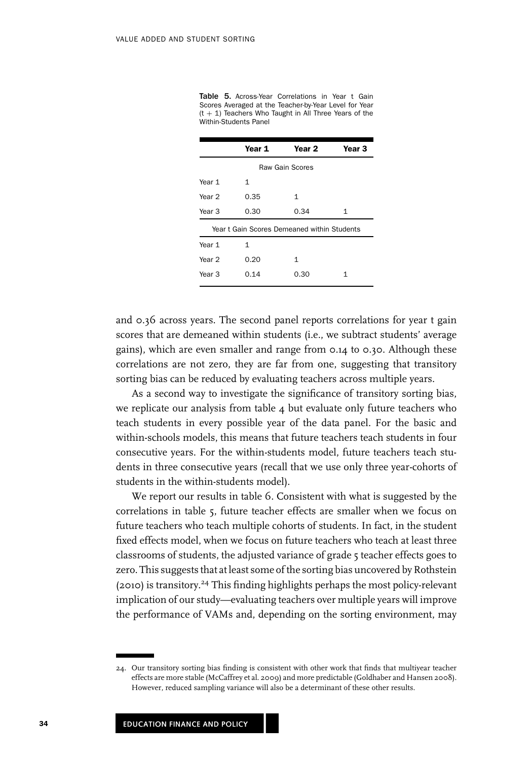|                                             | Year 1          | Year 2       | Year 3 |  |  |
|---------------------------------------------|-----------------|--------------|--------|--|--|
|                                             | Raw Gain Scores |              |        |  |  |
| Year 1                                      | $\mathbf{1}$    |              |        |  |  |
| Year <sub>2</sub>                           | 0.35            | $\mathbf{1}$ |        |  |  |
| Year 3                                      | 0.30            | 0.34         | 1      |  |  |
| Year t Gain Scores Demeaned within Students |                 |              |        |  |  |
| Year 1                                      | $\mathbf{1}$    |              |        |  |  |
| Year 2                                      | 0.20            | $\mathbf{1}$ |        |  |  |
| Year 3                                      | 0.14            | 0.30         | 1      |  |  |
|                                             |                 |              |        |  |  |

Table 5. Across-Year Correlations in Year t Gain Scores Averaged at the Teacher-by-Year Level for Year  $(t + 1)$  Teachers Who Taught in All Three Years of the Within-Students Panel

and 0.36 across years. The second panel reports correlations for year t gain scores that are demeaned within students (i.e., we subtract students' average gains), which are even smaller and range from 0.14 to 0.30. Although these correlations are not zero, they are far from one, suggesting that transitory sorting bias can be reduced by evaluating teachers across multiple years.

As a second way to investigate the significance of transitory sorting bias, we replicate our analysis from table 4 but evaluate only future teachers who teach students in every possible year of the data panel. For the basic and within-schools models, this means that future teachers teach students in four consecutive years. For the within-students model, future teachers teach students in three consecutive years (recall that we use only three year-cohorts of students in the within-students model).

We report our results in table 6. Consistent with what is suggested by the correlations in table 5, future teacher effects are smaller when we focus on future teachers who teach multiple cohorts of students. In fact, in the student fixed effects model, when we focus on future teachers who teach at least three classrooms of students, the adjusted variance of grade 5 teacher effects goes to zero. This suggests that at least some of the sorting bias uncovered by Rothstein (2010) is transitory.<sup>24</sup> This finding highlights perhaps the most policy-relevant implication of our study—evaluating teachers over multiple years will improve the performance of VAMs and, depending on the sorting environment, may

<sup>24.</sup> Our transitory sorting bias finding is consistent with other work that finds that multiyear teacher effects are more stable (McCaffrey et al. 2009) and more predictable (Goldhaber and Hansen 2008). However, reduced sampling variance will also be a determinant of these other results.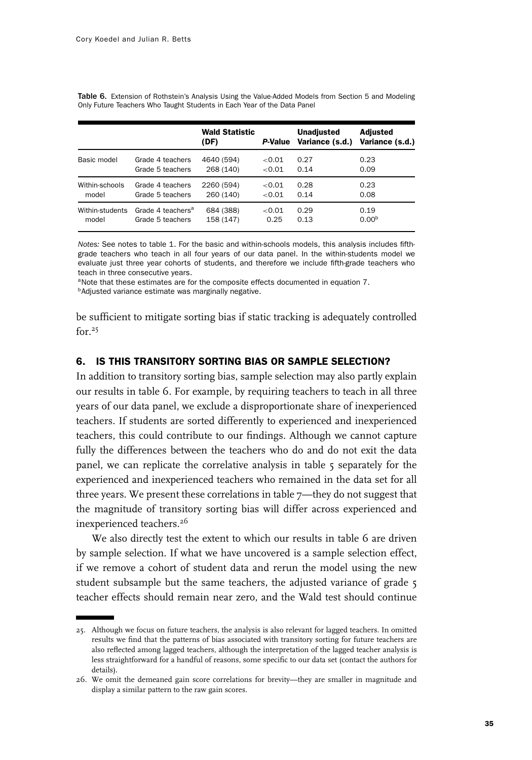|                 |                               | <b>Wald Statistic</b><br>(DF) | P-Value   | <b>Unadjusted</b><br>Variance (s.d.) | Adjusted<br>Variance (s.d.) |
|-----------------|-------------------------------|-------------------------------|-----------|--------------------------------------|-----------------------------|
| Basic model     | Grade 4 teachers              | 4640 (594)                    | < 0.01    | 0.27                                 | 0.23                        |
|                 | Grade 5 teachers              | 268 (140)                     | < 0.01    | 0.14                                 | 0.09                        |
| Within-schools  | Grade 4 teachers              | 2260 (594)                    | < 0.01    | 0.28                                 | 0.23                        |
| model           | Grade 5 teachers              | 260 (140)                     | ${<}0.01$ | 0.14                                 | 0.08                        |
| Within-students | Grade 4 teachers <sup>a</sup> | 684 (388)                     | < 0.01    | 0.29                                 | 0.19                        |
| model           | Grade 5 teachers              | 158 (147)                     | 0.25      | 0.13                                 | 0.00 <sup>b</sup>           |

Table 6. Extension of Rothstein's Analysis Using the Value-Added Models from Section 5 and Modeling Only Future Teachers Who Taught Students in Each Year of the Data Panel

*Notes:* See notes to table 1. For the basic and within-schools models, this analysis includes fifthgrade teachers who teach in all four years of our data panel. In the within-students model we evaluate just three year cohorts of students, and therefore we include fifth-grade teachers who teach in three consecutive years.

<sup>a</sup>Note that these estimates are for the composite effects documented in equation 7.

**bAdjusted variance estimate was marginally negative.** 

be sufficient to mitigate sorting bias if static tracking is adequately controlled for.<sup>25</sup>

# **6. IS THIS TRANSITORY SORTING BIAS OR SAMPLE SELECTION?**

In addition to transitory sorting bias, sample selection may also partly explain our results in table 6. For example, by requiring teachers to teach in all three years of our data panel, we exclude a disproportionate share of inexperienced teachers. If students are sorted differently to experienced and inexperienced teachers, this could contribute to our findings. Although we cannot capture fully the differences between the teachers who do and do not exit the data panel, we can replicate the correlative analysis in table 5 separately for the experienced and inexperienced teachers who remained in the data set for all three years. We present these correlations in table 7—they do not suggest that the magnitude of transitory sorting bias will differ across experienced and inexperienced teachers.<sup>26</sup>

We also directly test the extent to which our results in table 6 are driven by sample selection. If what we have uncovered is a sample selection effect, if we remove a cohort of student data and rerun the model using the new student subsample but the same teachers, the adjusted variance of grade 5 teacher effects should remain near zero, and the Wald test should continue

<sup>25.</sup> Although we focus on future teachers, the analysis is also relevant for lagged teachers. In omitted results we find that the patterns of bias associated with transitory sorting for future teachers are also reflected among lagged teachers, although the interpretation of the lagged teacher analysis is less straightforward for a handful of reasons, some specific to our data set (contact the authors for details).

<sup>26.</sup> We omit the demeaned gain score correlations for brevity—they are smaller in magnitude and display a similar pattern to the raw gain scores.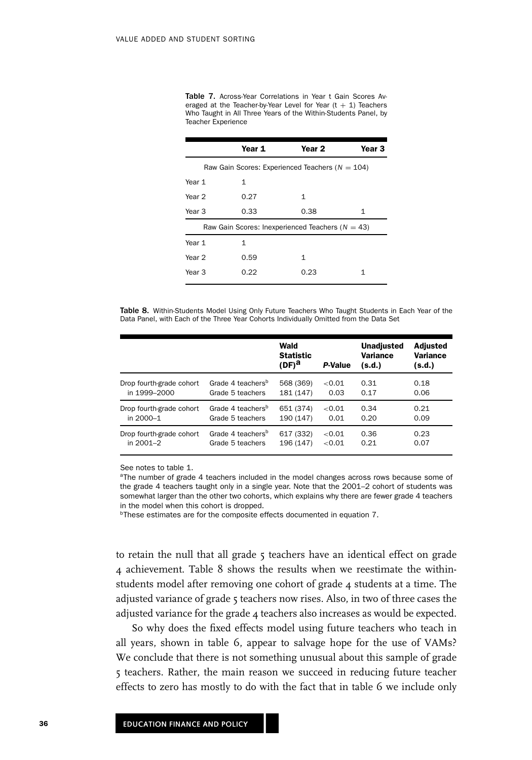| Table 7. Across-Year Correlations in Year t Gain Scores Av-     |
|-----------------------------------------------------------------|
| eraged at the Teacher-by-Year Level for Year $(t + 1)$ Teachers |
| Who Taught in All Three Years of the Within-Students Panel. bv  |
| Teacher Experience                                              |

|        | Year 1 | Year 2                                               | Year <sub>3</sub> |
|--------|--------|------------------------------------------------------|-------------------|
|        |        | Raw Gain Scores: Experienced Teachers ( $N = 104$ )  |                   |
| Year 1 | 1      |                                                      |                   |
| Year 2 | 0.27   | 1                                                    |                   |
| Year 3 | 0.33   | 0.38                                                 | 1                 |
|        |        | Raw Gain Scores: Inexperienced Teachers ( $N = 43$ ) |                   |
| Year 1 | 1      |                                                      |                   |
| Year 2 | 0.59   | 1                                                    |                   |
| Year 3 | 0.22   | 0.23                                                 | 1                 |

Table 8. Within-Students Model Using Only Future Teachers Who Taught Students in Each Year of the Data Panel, with Each of the Three Year Cohorts Individually Omitted from the Data Set

|                          |                               | Wald<br><b>Statistic</b><br>$(DF)^a$ | <b>P-Value</b> | <b>Unadjusted</b><br>Variance<br>(s.d.) | Adjusted<br>Variance<br>(s.d.) |
|--------------------------|-------------------------------|--------------------------------------|----------------|-----------------------------------------|--------------------------------|
| Drop fourth-grade cohort | Grade 4 teachers <sup>b</sup> | 568 (369)                            | ${<}0.01$      | 0.31                                    | 0.18                           |
| in 1999-2000             | Grade 5 teachers              | 181 (147)                            | 0.03           | 0.17                                    | 0.06                           |
| Drop fourth-grade cohort | Grade 4 teachers <sup>b</sup> | 651 (374)                            | ${<}0.01$      | 0.34                                    | 0.21                           |
| in 2000-1                | Grade 5 teachers              | 190 (147)                            | 0.01           | 0.20                                    | 0.09                           |
| Drop fourth-grade cohort | Grade 4 teachers <sup>b</sup> | 617 (332)                            | < 0.01         | 0.36                                    | 0.23                           |
| in 2001-2                | Grade 5 teachers              | 196 (147)                            | ${<}0.01$      | 0.21                                    | 0.07                           |

See notes to table 1.

<sup>a</sup>The number of grade 4 teachers included in the model changes across rows because some of the grade 4 teachers taught only in a single year. Note that the 2001–2 cohort of students was somewhat larger than the other two cohorts, which explains why there are fewer grade 4 teachers in the model when this cohort is dropped.

*bThese estimates are for the composite effects documented in equation 7.* 

to retain the null that all grade 5 teachers have an identical effect on grade 4 achievement. Table 8 shows the results when we reestimate the withinstudents model after removing one cohort of grade 4 students at a time. The adjusted variance of grade 5 teachers now rises. Also, in two of three cases the adjusted variance for the grade 4 teachers also increases as would be expected.

So why does the fixed effects model using future teachers who teach in all years, shown in table 6, appear to salvage hope for the use of VAMs? We conclude that there is not something unusual about this sample of grade 5 teachers. Rather, the main reason we succeed in reducing future teacher effects to zero has mostly to do with the fact that in table 6 we include only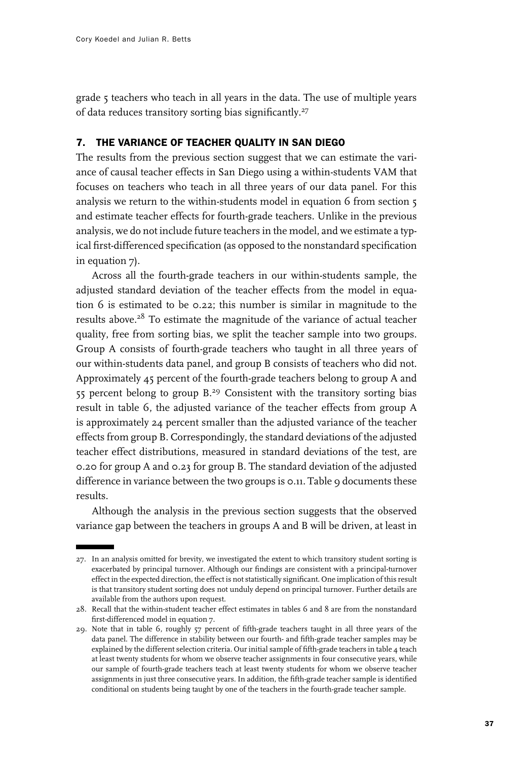grade 5 teachers who teach in all years in the data. The use of multiple years of data reduces transitory sorting bias significantly.<sup>27</sup>

# **7. THE VARIANCE OF TEACHER QUALITY IN SAN DIEGO**

The results from the previous section suggest that we can estimate the variance of causal teacher effects in San Diego using a within-students VAM that focuses on teachers who teach in all three years of our data panel. For this analysis we return to the within-students model in equation 6 from section 5 and estimate teacher effects for fourth-grade teachers. Unlike in the previous analysis, we do not include future teachers in the model, and we estimate a typical first-differenced specification (as opposed to the nonstandard specification in equation 7).

Across all the fourth-grade teachers in our within-students sample, the adjusted standard deviation of the teacher effects from the model in equation 6 is estimated to be 0.22; this number is similar in magnitude to the results above.<sup>28</sup> To estimate the magnitude of the variance of actual teacher quality, free from sorting bias, we split the teacher sample into two groups. Group A consists of fourth-grade teachers who taught in all three years of our within-students data panel, and group B consists of teachers who did not. Approximately 45 percent of the fourth-grade teachers belong to group A and 55 percent belong to group B.<sup>29</sup> Consistent with the transitory sorting bias result in table 6, the adjusted variance of the teacher effects from group A is approximately 24 percent smaller than the adjusted variance of the teacher effects from group B. Correspondingly, the standard deviations of the adjusted teacher effect distributions, measured in standard deviations of the test, are 0.20 for group A and 0.23 for group B. The standard deviation of the adjusted difference in variance between the two groups is 0.11. Table 9 documents these results.

Although the analysis in the previous section suggests that the observed variance gap between the teachers in groups A and B will be driven, at least in

<sup>27.</sup> In an analysis omitted for brevity, we investigated the extent to which transitory student sorting is exacerbated by principal turnover. Although our findings are consistent with a principal-turnover effect in the expected direction, the effect is not statistically significant. One implication of this result is that transitory student sorting does not unduly depend on principal turnover. Further details are available from the authors upon request.

<sup>28.</sup> Recall that the within-student teacher effect estimates in tables 6 and 8 are from the nonstandard first-differenced model in equation 7.

<sup>29.</sup> Note that in table 6, roughly 57 percent of fifth-grade teachers taught in all three years of the data panel. The difference in stability between our fourth- and fifth-grade teacher samples may be explained by the different selection criteria. Our initial sample of fifth-grade teachers in table 4 teach at least twenty students for whom we observe teacher assignments in four consecutive years, while our sample of fourth-grade teachers teach at least twenty students for whom we observe teacher assignments in just three consecutive years. In addition, the fifth-grade teacher sample is identified conditional on students being taught by one of the teachers in the fourth-grade teacher sample.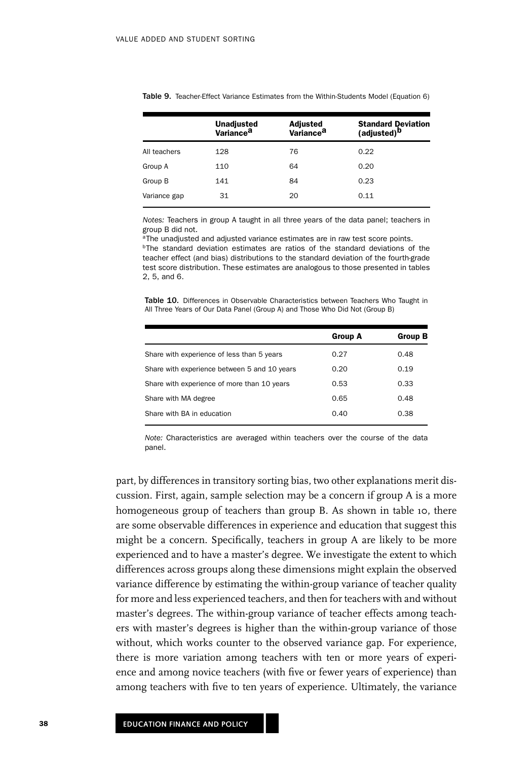|              | <b>Unadjusted</b><br>Variance <sup>a</sup> | Adjusted<br>Variance <sup>a</sup> | <b>Standard Deviation</b><br>(adjusted) <sup>b</sup> |
|--------------|--------------------------------------------|-----------------------------------|------------------------------------------------------|
| All teachers | 128                                        | 76                                | 0.22                                                 |
| Group A      | 110                                        | 64                                | 0.20                                                 |
| Group B      | 141                                        | 84                                | 0.23                                                 |
| Variance gap | 31                                         | 20                                | 0.11                                                 |

Table 9. Teacher-Effect Variance Estimates from the Within-Students Model (Equation 6)

*Notes:* Teachers in group A taught in all three years of the data panel; teachers in group B did not.

<sup>a</sup>The unadjusted and adjusted variance estimates are in raw test score points. **bThe standard deviation estimates are ratios of the standard deviations of the** teacher effect (and bias) distributions to the standard deviation of the fourth-grade test score distribution. These estimates are analogous to those presented in tables 2, 5, and 6.

Table 10. Differences in Observable Characteristics between Teachers Who Taught in All Three Years of Our Data Panel (Group A) and Those Who Did Not (Group B)

|                                              | <b>Group A</b> | <b>Group B</b> |
|----------------------------------------------|----------------|----------------|
| Share with experience of less than 5 years   | 0.27           | 0.48           |
| Share with experience between 5 and 10 years | 0.20           | 0.19           |
| Share with experience of more than 10 years  | 0.53           | 0.33           |
| Share with MA degree                         | 0.65           | 0.48           |
| Share with BA in education                   | 0.40           | 0.38           |
|                                              |                |                |

*Note:* Characteristics are averaged within teachers over the course of the data panel.

part, by differences in transitory sorting bias, two other explanations merit discussion. First, again, sample selection may be a concern if group A is a more homogeneous group of teachers than group B. As shown in table 10, there are some observable differences in experience and education that suggest this might be a concern. Specifically, teachers in group A are likely to be more experienced and to have a master's degree. We investigate the extent to which differences across groups along these dimensions might explain the observed variance difference by estimating the within-group variance of teacher quality for more and less experienced teachers, and then for teachers with and without master's degrees. The within-group variance of teacher effects among teachers with master's degrees is higher than the within-group variance of those without, which works counter to the observed variance gap. For experience, there is more variation among teachers with ten or more years of experience and among novice teachers (with five or fewer years of experience) than among teachers with five to ten years of experience. Ultimately, the variance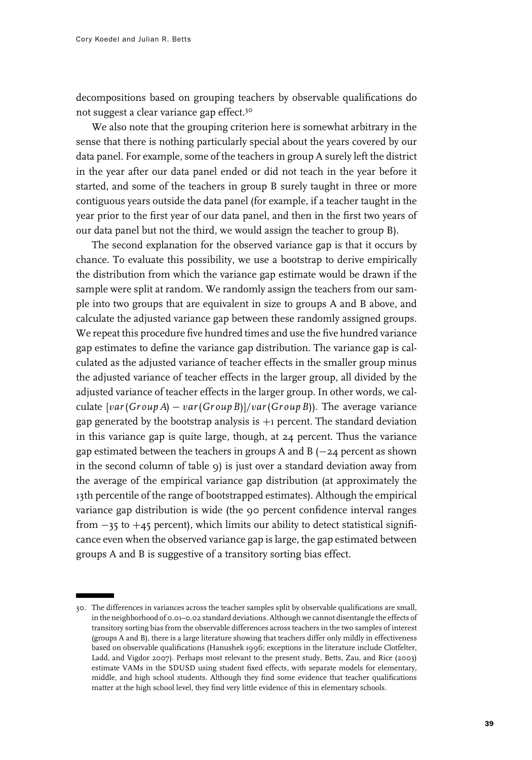decompositions based on grouping teachers by observable qualifications do not suggest a clear variance gap effect.30

We also note that the grouping criterion here is somewhat arbitrary in the sense that there is nothing particularly special about the years covered by our data panel. For example, some of the teachers in group A surely left the district in the year after our data panel ended or did not teach in the year before it started, and some of the teachers in group B surely taught in three or more contiguous years outside the data panel (for example, if a teacher taught in the year prior to the first year of our data panel, and then in the first two years of our data panel but not the third, we would assign the teacher to group B).

The second explanation for the observed variance gap is that it occurs by chance. To evaluate this possibility, we use a bootstrap to derive empirically the distribution from which the variance gap estimate would be drawn if the sample were split at random. We randomly assign the teachers from our sample into two groups that are equivalent in size to groups A and B above, and calculate the adjusted variance gap between these randomly assigned groups. We repeat this procedure five hundred times and use the five hundred variance gap estimates to define the variance gap distribution. The variance gap is calculated as the adjusted variance of teacher effects in the smaller group minus the adjusted variance of teacher effects in the larger group, all divided by the adjusted variance of teacher effects in the larger group. In other words, we calculate [v*ar*(*Gr oupA*) − v*ar*(*Gr oupB*)]/v*ar*(*Gr oupB*)). The average variance gap generated by the bootstrap analysis is  $+1$  percent. The standard deviation in this variance gap is quite large, though, at 24 percent. Thus the variance gap estimated between the teachers in groups A and B  $(-24)$  percent as shown in the second column of table 9) is just over a standard deviation away from the average of the empirical variance gap distribution (at approximately the 13th percentile of the range of bootstrapped estimates). Although the empirical variance gap distribution is wide (the 90 percent confidence interval ranges from  $-35$  to  $+45$  percent), which limits our ability to detect statistical significance even when the observed variance gap is large, the gap estimated between groups A and B is suggestive of a transitory sorting bias effect.

<sup>30.</sup> The differences in variances across the teacher samples split by observable qualifications are small, in the neighborhood of 0.01–0.02 standard deviations. Although we cannot disentangle the effects of transitory sorting bias from the observable differences across teachers in the two samples of interest (groups A and B), there is a large literature showing that teachers differ only mildly in effectiveness based on observable qualifications (Hanushek 1996; exceptions in the literature include Clotfelter, Ladd, and Vigdor 2007). Perhaps most relevant to the present study, Betts, Zau, and Rice (2003) estimate VAMs in the SDUSD using student fixed effects, with separate models for elementary, middle, and high school students. Although they find some evidence that teacher qualifications matter at the high school level, they find very little evidence of this in elementary schools.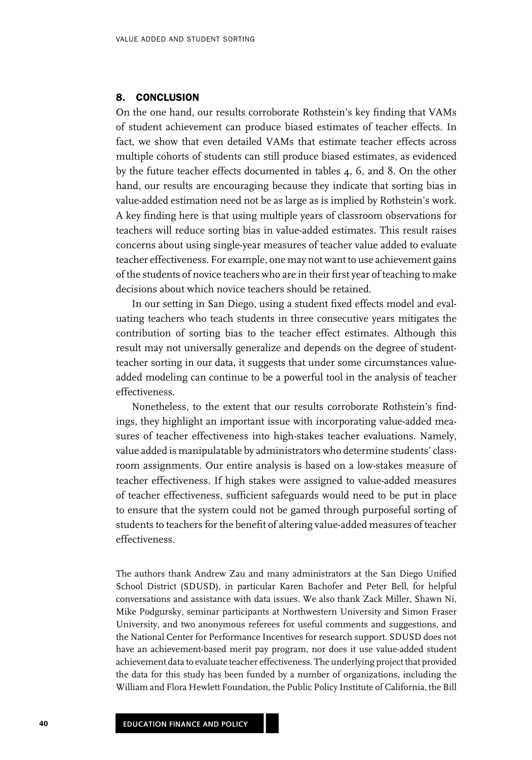## **8. CONCLUSION**

On the one hand, our results corroborate Rothstein's key finding that VAMs of student achievement can produce biased estimates of teacher effects. In fact, we show that even detailed VAMs that estimate teacher effects across multiple cohorts of students can still produce biased estimates, as evidenced by the future teacher effects documented in tables 4, 6, and 8. On the other hand, our results are encouraging because they indicate that sorting bias in value-added estimation need not be as large as is implied by Rothstein's work. A key finding here is that using multiple years of classroom observations for teachers will reduce sorting bias in value-added estimates. This result raises concerns about using single-year measures of teacher value added to evaluate teacher effectiveness. For example, one may not want to use achievement gains of the students of novice teachers who are in their first year of teaching to make decisions about which novice teachers should be retained.

In our setting in San Diego, using a student fixed effects model and evaluating teachers who teach students in three consecutive years mitigates the contribution of sorting bias to the teacher effect estimates. Although this result may not universally generalize and depends on the degree of studentteacher sorting in our data, it suggests that under some circumstances valueadded modeling can continue to be a powerful tool in the analysis of teacher effectiveness.

Nonetheless, to the extent that our results corroborate Rothstein's findings, they highlight an important issue with incorporating value-added measures of teacher effectiveness into high-stakes teacher evaluations. Namely, value added is manipulatable by administrators who determine students' classroom assignments. Our entire analysis is based on a low-stakes measure of teacher effectiveness. If high stakes were assigned to value-added measures of teacher effectiveness, sufficient safeguards would need to be put in place to ensure that the system could not be gamed through purposeful sorting of students to teachers for the benefit of altering value-added measures of teacher effectiveness.

The authors thank Andrew Zau and many administrators at the San Diego Unified School District (SDUSD), in particular Karen Bachofer and Peter Bell, for helpful conversations and assistance with data issues. We also thank Zack Miller, Shawn Ni, Mike Podgursky, seminar participants at Northwestern University and Simon Fraser University, and two anonymous referees for useful comments and suggestions, and the National Center for Performance Incentives for research support. SDUSD does not have an achievement-based merit pay program, nor does it use value-added student achievement data to evaluate teacher effectiveness. The underlying project that provided the data for this study has been funded by a number of organizations, including the William and Flora Hewlett Foundation, the Public Policy Institute of California, the Bill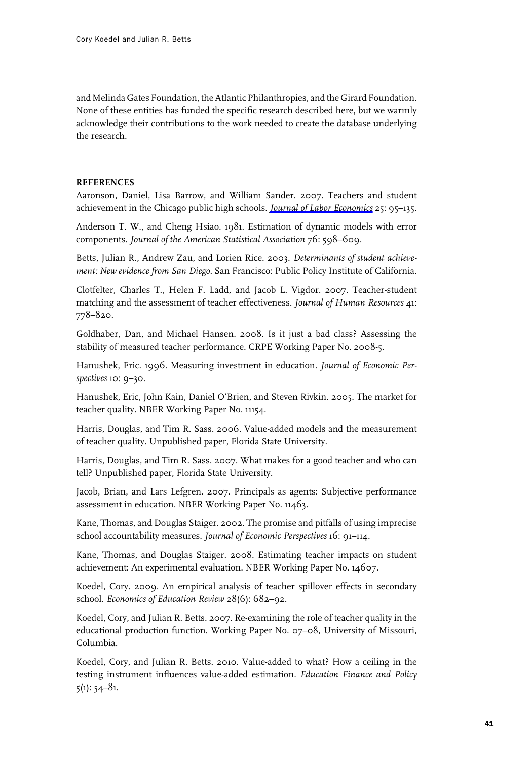and Melinda Gates Foundation, the Atlantic Philanthropies, and the Girard Foundation. None of these entities has funded the specific research described here, but we warmly acknowledge their contributions to the work needed to create the database underlying the research.

## **REFERENCES**

Aaronson, Daniel, Lisa Barrow, and William Sander. 2007. Teachers and student achievement in the Chicago public high schools. *Journal of Labor Economics* 25: 95–135.

Anderson T. W., and Cheng Hsiao. 1981. Estimation of dynamic models with error components. *Journal of the American Statistical Association* 76: 598–609.

Betts, Julian R., Andrew Zau, and Lorien Rice. 2003. *Determinants of student achievement: New evidence from San Diego*. San Francisco: Public Policy Institute of California.

Clotfelter, Charles T., Helen F. Ladd, and Jacob L. Vigdor. 2007. Teacher-student matching and the assessment of teacher effectiveness. *Journal of Human Resources* 41: 778–820.

Goldhaber, Dan, and Michael Hansen. 2008. Is it just a bad class? Assessing the stability of measured teacher performance. CRPE Working Paper No. 2008-5.

Hanushek, Eric. 1996. Measuring investment in education. *Journal of Economic Perspectives* 10: 9–30.

Hanushek, Eric, John Kain, Daniel O'Brien, and Steven Rivkin. 2005. The market for teacher quality. NBER Working Paper No. 11154.

Harris, Douglas, and Tim R. Sass. 2006. Value-added models and the measurement of teacher quality. Unpublished paper, Florida State University.

Harris, Douglas, and Tim R. Sass. 2007. What makes for a good teacher and who can tell? Unpublished paper, Florida State University.

Jacob, Brian, and Lars Lefgren. 2007. Principals as agents: Subjective performance assessment in education. NBER Working Paper No. 11463.

Kane, Thomas, and Douglas Staiger. 2002. The promise and pitfalls of using imprecise school accountability measures. *Journal of Economic Perspectives* 16: 91–114.

Kane, Thomas, and Douglas Staiger. 2008. Estimating teacher impacts on student achievement: An experimental evaluation. NBER Working Paper No. 14607.

Koedel, Cory. 2009. An empirical analysis of teacher spillover effects in secondary school. *Economics of Education Review* 28(6): 682–92.

Koedel, Cory, and Julian R. Betts. 2007. Re-examining the role of teacher quality in the educational production function. Working Paper No. 07–08, University of Missouri, Columbia.

Koedel, Cory, and Julian R. Betts. 2010. Value-added to what? How a ceiling in the testing instrument influences value-added estimation. *Education Finance and Policy*  $5(1): 54-81.$